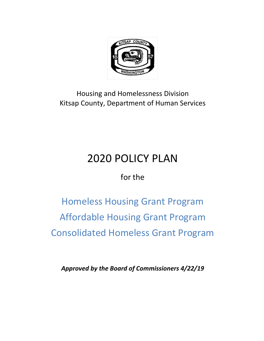

# Housing and Homelessness Division Kitsap County, Department of Human Services

# 2020 POLICY PLAN

for the

Homeless Housing Grant Program Affordable Housing Grant Program Consolidated Homeless Grant Program

*Approved by the Board of Commissioners 4/22/19*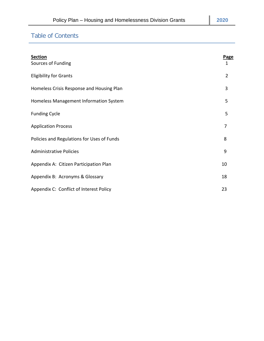# Table of Contents

| <b>Section</b><br>Sources of Funding       | Page<br>$\mathbf{1}$ |
|--------------------------------------------|----------------------|
| <b>Eligibility for Grants</b>              | $\overline{2}$       |
| Homeless Crisis Response and Housing Plan  | 3                    |
| Homeless Management Information System     | 5                    |
| <b>Funding Cycle</b>                       | 5                    |
| <b>Application Process</b>                 | 7                    |
| Policies and Regulations for Uses of Funds | 8                    |
| <b>Administrative Policies</b>             | 9                    |
| Appendix A: Citizen Participation Plan     | 10                   |
| Appendix B: Acronyms & Glossary            | 18                   |
| Appendix C: Conflict of Interest Policy    | 23                   |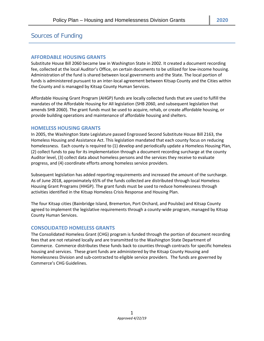# Sources of Funding

# **AFFORDABLE HOUSING GRANTS**

Substitute House Bill 2060 became law in Washington State in 2002. It created a document recording fee, collected at the local Auditor's Office, on certain documents to be utilized for low-income housing. Administration of the fund is shared between local governments and the State. The local portion of funds is administered pursuant to an inter-local agreement between Kitsap County and the Cities within the County and is managed by Kitsap County Human Services.

Affordable Housing Grant Program (AHGP) funds are locally collected funds that are used to fulfill the mandates of the Affordable Housing for All legislation (SHB 2060, and subsequent legislation that amends SHB 2060). The grant funds must be used to acquire, rehab, or create affordable housing, or provide building operations and maintenance of affordable housing and shelters.

# **HOMELESS HOUSING GRANTS**

In 2005, the Washington State Legislature passed Engrossed Second Substitute House Bill 2163, the Homeless Housing and Assistance Act. This legislation mandated that each county focus on reducing homelessness. Each county is required to (1) develop and periodically update a Homeless Housing Plan, (2) collect funds to pay for its implementation through a document recording surcharge at the county Auditor level, (3) collect data about homeless persons and the services they receive to evaluate progress, and (4) coordinate efforts among homeless service providers.

Subsequent legislation has added reporting requirements and increased the amount of the surcharge. As of June 2018, approximately 65% of the funds collected are distributed through local Homeless Housing Grant Programs (HHGP). The grant funds must be used to reduce homelessness through activities identified in the Kitsap Homeless Crisis Response and Housing Plan.

The four Kitsap cities (Bainbridge Island, Bremerton, Port Orchard, and Poulsbo) and Kitsap County agreed to implement the legislative requirements through a county-wide program, managed by Kitsap County Human Services.

# **CONSOLIDATED HOMELESS GRANTS**

The Consolidated Homeless Grant (CHG) program is funded through the portion of document recording fees that are not retained locally and are transmitted to the Washington State Department of Commerce. Commerce distributes these funds back to counties through contracts for specific homeless housing and services. These grant funds are administered by the Kitsap County Housing and Homelessness Division and sub-contracted to eligible service providers. The funds are governed by Commerce's CHG Guidelines.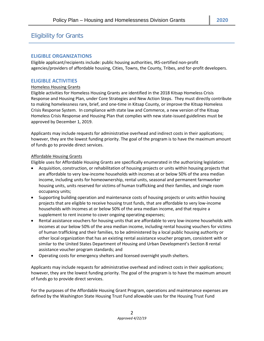# Eligibility for Grants

# **ELIGIBLE ORGANIZATIONS**

Eligible applicant/recipients include: public housing authorities, IRS-certified non-profit agencies/providers of affordable housing, Cities, Towns, the County, Tribes, and for-profit developers.

# **ELIGIBLE ACTIVITIES**

#### Homeless Housing Grants

Eligible activities for Homeless Housing Grants are identified in the 2018 Kitsap Homeless Crisis Response and Housing Plan, under Core Strategies and New Action Steps. They must directly contribute to making homelessness rare, brief, and one-time in Kitsap County, or improve the Kitsap Homeless Crisis Response System. In compliance with state law and Commerce, a new version of the Kitsap Homeless Crisis Response and Housing Plan that complies with new state-issued guidelines must be approved by December 1, 2019.

Applicants may include requests for administrative overhead and indirect costs in their applications; however, they are the lowest funding priority. The goal of the program is to have the maximum amount of funds go to provide direct services.

#### Affordable Housing Grants

Eligible uses for Affordable Housing Grants are specifically enumerated in the authorizing legislation:

- Acquisition, construction, or rehabilitation of housing projects or units within housing projects that are affordable to very low-income households with incomes at or below 50% of the area median income, including units for homeownership, rental units, seasonal and permanent farmworker housing units, units reserved for victims of human trafficking and their families, and single room occupancy units;
- Supporting building operation and maintenance costs of housing projects or units within housing projects that are eligible to receive housing trust funds, that are affordable to very low-income households with incomes at or below 50% of the area median income, and that require a supplement to rent income to cover ongoing operating expenses;
- Rental assistance vouchers for housing units that are affordable to very low-income households with incomes at our below 50% of the area median income, including rental housing vouchers for victims of human trafficking and their families, to be administered by a local public housing authority or other local organization that has an existing rental assistance voucher program, consistent with or similar to the United States Department of Housing and Urban Development's Section 8 rental assistance voucher program standards; and
- Operating costs for emergency shelters and licensed overnight youth shelters.

Applicants may include requests for administrative overhead and indirect costs in their applications; however, they are the lowest funding priority. The goal of the program is to have the maximum amount of funds go to provide direct services.

For the purposes of the Affordable Housing Grant Program, operations and maintenance expenses are defined by the Washington State Housing Trust Fund allowable uses for the Housing Trust Fund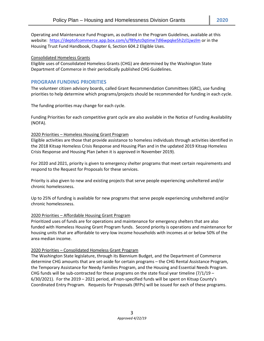Operating and Maintenance Fund Program, as outlined in the Program Guidelines, available at this website: <https://deptofcommerce.app.box.com/s/f89ytc0qtime7dl6wpqke5h2zl1jwzlm> or in the Housing Trust Fund Handbook, Chapter 6, Section 604.2 Eligible Uses.

# Consolidated Homeless Grants

Eligible uses of Consolidated Homeless Grants (CHG) are determined by the Washington State Department of Commerce in their periodically published CHG Guidelines.

# **PROGRAM FUNDING PRIORITIES**

The volunteer citizen advisory boards, called Grant Recommendation Committees (GRC), use funding priorities to help determine which programs/projects should be recommended for funding in each cycle.

The funding priorities may change for each cycle.

Funding Priorities for each competitive grant cycle are also available in the Notice of Funding Availability (NOFA).

# 2020 Priorities – Homeless Housing Grant Program

Eligible activities are those that provide assistance to homeless individuals through activities identified in the 2018 Kitsap Homeless Crisis Response and Housing Plan and in the updated 2019 Kitsap Homeless Crisis Response and Housing Plan (when it is approved in November 2019).

For 2020 and 2021, priority is given to emergency shelter programs that meet certain requirements and respond to the Request for Proposals for these services.

Priority is also given to new and existing projects that serve people experiencing unsheltered and/or chronic homelessness.

Up to 25% of funding is available for new programs that serve people experiencing unsheltered and/or chronic homelessness.

# 2020 Priorities – Affordable Housing Grant Program

Prioritized uses of funds are for operations and maintenance for emergency shelters that are also funded with Homeless Housing Grant Program funds. Second priority is operations and maintenance for housing units that are affordable to very-low income households with incomes at or below 50% of the area median income.

# 2020 Priorities – Consolidated Homeless Grant Program

The Washington State legislature, through its Biennium Budget, and the Department of Commerce determine CHG amounts that are set-aside for certain programs – the CHG Rental Assistance Program, the Temporary Assistance for Needy Families Program, and the Housing and Essential Needs Program. CHG funds will be sub-contracted for these programs on the state fiscal year timeline  $(7/1/19 -$ 6/30/2021). For the 2019 – 2021 period, all non-specified funds will be spent on Kitsap County's Coordinated Entry Program. Requests for Proposals (RFPs) will be issued for each of these programs.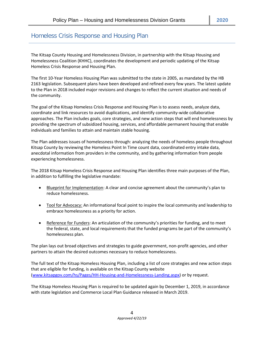# Homeless Crisis Response and Housing Plan

The Kitsap County Housing and Homelessness Division, in partnership with the Kitsap Housing and Homelessness Coalition (KHHC), coordinates the development and periodic updating of the Kitsap Homeless Crisis Response and Housing Plan.

The first 10-Year Homeless Housing Plan was submitted to the state in 2005, as mandated by the HB 2163 legislation. Subsequent plans have been developed and refined every few years. The latest update to the Plan in 2018 included major revisions and changes to reflect the current situation and needs of the community.

The goal of the Kitsap Homeless Crisis Response and Housing Plan is to assess needs, analyze data, coordinate and link resources to avoid duplications, and identify community-wide collaborative approaches. The Plan includes goals, core strategies, and new action steps that will end homelessness by providing the spectrum of subsidized housing, services, and affordable permanent housing that enable individuals and families to attain and maintain stable housing.

The Plan addresses issues of homelessness through: analyzing the needs of homeless people throughout Kitsap County by reviewing the Homeless Point In Time count data, coordinated entry intake data, anecdotal information from providers in the community, and by gathering information from people experiencing homelessness.

The 2018 Kitsap Homeless Crisis Response and Housing Plan identifies three main purposes of the Plan, in addition to fulfilling the legislative mandate:

- Blueprint for Implementation: A clear and concise agreement about the community's plan to reduce homelessness.
- Tool for Advocacy: An informational focal point to inspire the local community and leadership to embrace homelessness as a priority for action.
- Reference for Funders: An articulation of the community's priorities for funding, and to meet the federal, state, and local requirements that the funded programs be part of the community's homelessness plan.

The plan lays out broad objectives and strategies to guide government, non-profit agencies, and other partners to attain the desired outcomes necessary to reduce homelessness.

The full text of the Kitsap Homeless Housing Plan, including a list of core strategies and new action steps that are eligible for funding, is available on the Kitsap County website [\(www.kitsapgov.com/hs/Pages/HH-Housing-and-Homelessness-Landing.aspx\)](http://www.kitsapgov.com/hs/Pages/HH-Housing-and-Homelessness-Landing.aspx) or by request.

The Kitsap Homeless Housing Plan is required to be updated again by December 1, 2019, in accordance with state legislation and Commerce Local Plan Guidance released in March 2019.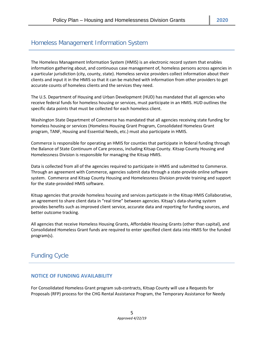# Homeless Management Information System

The Homeless Management Information System (HMIS) is an electronic record system that enables information gathering about, and continuous case management of, homeless persons across agencies in a particular jurisdiction (city, county, state). Homeless service providers collect information about their clients and input it in the HMIS so that it can be matched with information from other providers to get accurate counts of homeless clients and the services they need.

The U.S. Department of Housing and Urban Development (HUD) has mandated that all agencies who receive federal funds for homeless housing or services, must participate in an HMIS. HUD outlines the specific data points that must be collected for each homeless client.

Washington State Department of Commerce has mandated that all agencies receiving state funding for homeless housing or services (Homeless Housing Grant Program, Consolidated Homeless Grant program, TANF, Housing and Essential Needs, etc.) must also participate in HMIS.

Commerce is responsible for operating an HMIS for counties that participate in federal funding through the Balance of State Continuum of Care process, including Kitsap County. Kitsap County Housing and Homelessness Division is responsible for managing the Kitsap HMIS.

Data is collected from all of the agencies required to participate in HMIS and submitted to Commerce. Through an agreement with Commerce, agencies submit data through a state-provide online software system. Commerce and Kitsap County Housing and Homelessness Division provide training and support for the state-provided HMIS software.

Kitsap agencies that provide homeless housing and services participate in the Kitsap HMIS Collaborative, an agreement to share client data in "real time" between agencies. Kitsap's data-sharing system provides benefits such as improved client service, accurate data and reporting for funding sources, and better outcome tracking.

All agencies that receive Homeless Housing Grants, Affordable Housing Grants (other than capital), and Consolidated Homeless Grant funds are required to enter specified client data into HMIS for the funded program(s).

# Funding Cycle

# **NOTICE OF FUNDING AVAILABILITY**

For Consolidated Homeless Grant program sub-contracts, Kitsap County will use a Requests for Proposals (RFP) process for the CHG Rental Assistance Program, the Temporary Assistance for Needy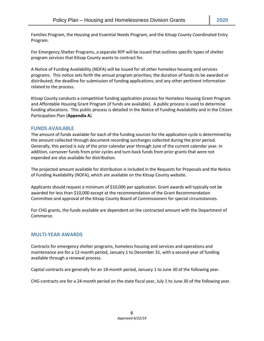Families Program, the Housing and Essential Needs Program, and the Kitsap County Coordinated Entry Program.

For Emergency Shelter Programs, a separate RFP will be issued that outlines specific types of shelter program services that Kitsap County wants to contract for.

A Notice of Funding Availability (NOFA) will be issued for all other homeless housing and services programs. This notice sets forth the annual program priorities; the duration of funds to be awarded or distributed; the deadline for submission of funding applications; and any other pertinent information related to the process.

Kitsap County conducts a competitive funding application process for Homeless Housing Grant Program and Affordable Housing Grant Program (if funds are available). A public process is used to determine funding allocations. This public process is detailed in the Notice of Funding Availability and in the Citizen Participation Plan (**Appendix A**).

# **FUNDS AVAILABLE**

The amount of funds available for each of the funding sources for the application cycle is determined by the amount collected through document recording surcharges collected during the prior period. Generally, this period is July of the prior calendar year through June of the current calendar year. In addition, carryover funds from prior cycles and turn-back funds from prior grants that were not expended are also available for distribution.

The projected amount available for distribution is included in the Requests for Proposals and the Notice of Funding Availability (NOFA), which are available on the Kitsap County website.

Applicants should request a minimum of \$10,000 per application. Grant awards will typically not be awarded for less than \$10,000 except at the recommendation of the Grant Recommendation Committee and approval of the Kitsap County Board of Commissioners for special circumstances.

For CHG grants, the funds available are dependent on the contracted amount with the Department of Commerce.

# **MULTI-YEAR AWARDS**

Contracts for emergency shelter programs, homeless housing and services and operations and maintenance are for a 12-month period, January 1 to December 31, with a second year of funding available through a renewal process.

Capital contracts are generally for an 18-month period, January 1 to June 30 of the following year.

CHG contracts are for a 24-month period on the state fiscal year, July 1 to June 30 of the following year.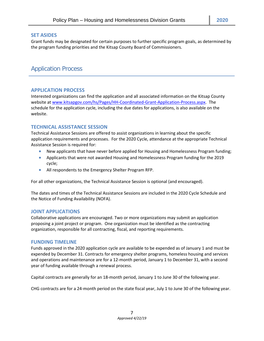# **SET ASIDES**

Grant funds may be designated for certain purposes to further specific program goals, as determined by the program funding priorities and the Kitsap County Board of Commissioners.

# Application Process

# **APPLICATION PROCESS**

Interested organizations can find the application and all associated information on the Kitsap County website at [www.kitsapgov.com/hs/Pages/HH-Coordinated-Grant-Application-Process.aspx.](http://www.kitsapgov.com/hs/Pages/HH-Coordinated-Grant-Application-Process.aspx) The schedule for the application cycle, including the due dates for applications, is also available on the website.

# **TECHNICAL ASSISTANCE SESSION**

Technical Assistance Sessions are offered to assist organizations in learning about the specific application requirements and processes. For the 2020 Cycle, attendance at the appropriate Technical Assistance Session is required for:

- New applicants that have never before applied for Housing and Homelessness Program funding;
- Applicants that were not awarded Housing and Homelessness Program funding for the 2019 cycle;
- All respondents to the Emergency Shelter Program RFP.

For all other organizations, the Technical Assistance Session is optional (and encouraged).

The dates and times of the Technical Assistance Sessions are included in the 2020 Cycle Schedule and the Notice of Funding Availability (NOFA).

# **JOINT APPLICATIONS**

Collaborative applications are encouraged. Two or more organizations may submit an application proposing a joint project or program. One organization must be identified as the contracting organization, responsible for all contracting, fiscal, and reporting requirements.

# **FUNDING TIMELINE**

Funds approved in the 2020 application cycle are available to be expended as of January 1 and must be expended by December 31. Contracts for emergency shelter programs, homeless housing and services and operations and maintenance are for a 12-month period, January 1 to December 31, with a second year of funding available through a renewal process.

Capital contracts are generally for an 18-month period, January 1 to June 30 of the following year.

CHG contracts are for a 24-month period on the state fiscal year, July 1 to June 30 of the following year.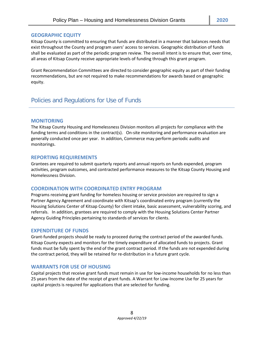# **GEOGRAPHIC EQUITY**

Kitsap County is committed to ensuring that funds are distributed in a manner that balances needs that exist throughout the County and program users' access to services. Geographic distribution of funds shall be evaluated as part of the periodic program review. The overall intent is to ensure that, over time, all areas of Kitsap County receive appropriate levels of funding through this grant program.

Grant Recommendation Committees are directed to consider geographic equity as part of their funding recommendations, but are not required to make recommendations for awards based on geographic equity.

# Policies and Regulations for Use of Funds

# **MONITORING**

The Kitsap County Housing and Homelessness Division monitors all projects for compliance with the funding terms and conditions in the contract(s). On-site monitoring and performance evaluation are generally conducted once per year. In addition, Commerce may perform periodic audits and monitorings.

# **REPORTING REQUIREMENTS**

Grantees are required to submit quarterly reports and annual reports on funds expended, program activities, program outcomes, and contracted performance measures to the Kitsap County Housing and Homelessness Division.

# **COORDINATION WITH COORDINATED ENTRY PROGRAM**

Programs receiving grant funding for homeless housing or service provision are required to sign a Partner Agency Agreement and coordinate with Kitsap's coordinated entry program (currently the Housing Solutions Center of Kitsap County) for client intake, basic assessment, vulnerability scoring, and referrals. In addition, grantees are required to comply with the Housing Solutions Center Partner Agency Guiding Principles pertaining to standards of services for clients.

# **EXPENDITURE OF FUNDS**

Grant-funded projects should be ready to proceed during the contract period of the awarded funds. Kitsap County expects and monitors for the timely expenditure of allocated funds to projects. Grant funds must be fully spent by the end of the grant contract period. If the funds are not expended during the contract period, they will be retained for re-distribution in a future grant cycle.

# **WARRANTS FOR USE OF HOUSING**

Capital projects that receive grant funds must remain in use for low-income households for no less than 25 years from the date of the receipt of grant funds. A Warrant for Low-Income Use for 25 years for capital projects is required for applications that are selected for funding.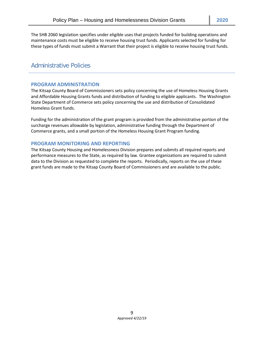The SHB 2060 legislation specifies under eligible uses that projects funded for building operations and maintenance costs must be eligible to receive housing trust funds. Applicants selected for funding for these types of funds must submit a Warrant that their project is eligible to receive housing trust funds.

# Administrative Policies

# **PROGRAM ADMINISTRATION**

The Kitsap County Board of Commissioners sets policy concerning the use of Homeless Housing Grants and Affordable Housing Grants funds and distribution of funding to eligible applicants. The Washington State Department of Commerce sets policy concerning the use and distribution of Consolidated Homeless Grant funds.

Funding for the administration of the grant program is provided from the administrative portion of the surcharge revenues allowable by legislation, administrative funding through the Department of Commerce grants, and a small portion of the Homeless Housing Grant Program funding.

# **PROGRAM MONITORING AND REPORTING**

The Kitsap County Housing and Homelessness Division prepares and submits all required reports and performance measures to the State, as required by law. Grantee organizations are required to submit data to the Division as requested to complete the reports. Periodically, reports on the use of these grant funds are made to the Kitsap County Board of Commissioners and are available to the public.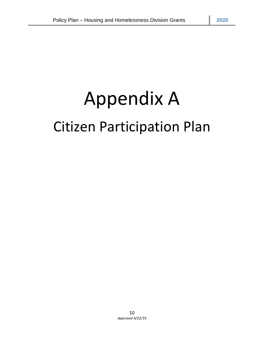# Appendix A Citizen Participation Plan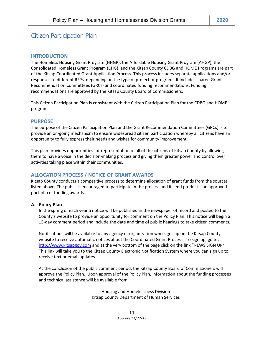# Citizen Participation Plan

# **INTRODUCTION**

The Homeless Housing Grant Program (HHGP), the Affordable Housing Grant Program (AHGP), the Consolidated Homeless Grant Program (CHG), and the Kitsap County CDBG and HOME Programs are part of the Kitsap Coordinated Grant Application Process. This process includes separate applications and/or responses to different RFPs, depending on the type of project or program. It includes shared Grant Recommendation Committees (GRCs) and coordinated funding recommendations. Funding recommendations are approved by the Kitsap County Board of Commissioners.

This Citizen Participation Plan is consistent with the Citizen Participation Plan for the CDBG and HOME programs.

# **PURPOSE**

The purpose of the Citizen Participation Plan and the Grant Recommendation Committees (GRCs) is to provide an on-going mechanism to ensure widespread citizen participation whereby all citizens have an opportunity to fully express their needs and wishes for community improvement.

This plan provides opportunities for representation of all of the citizens of Kitsap County by allowing them to have a voice in the decision-making process and giving them greater power and control over activities taking place within their communities.

# **ALLOCATION PROCESS / NOTICE OF GRANT AWARDS**

Kitsap County conducts a competitive process to determine allocation of grant funds from the sources listed above. The public is encouraged to participate in the process and its end product – an approved portfolio of funding awards.

#### **A. Policy Plan**

In the spring of each year a notice will be published in the newspaper of record and posted to the County's website to provide an opportunity for comment on the Policy Plan. This notice will begin a 15-day comment period and include the date and time of public hearings to take citizen comments.

Notifications will be available to any agency or organization who signs up on the Kitsap County website to receive automatic notices about the Coordinated Grant Process. To sign up, go to: [http://www.kitsapgov.com](http://www.kitsapgov.com/hs/housing) and at the very bottom of the page click on the link "NEWS SIGN UP". This link will take you to the Kitsap County Electronic Notification System where you can sign up to receive text or email updates.

At the conclusion of the public comment period, the Kitsap County Board of Commissioners will approve the Policy Plan. Upon approval of the Policy Plan, information about the funding processes and technical assistance will be available from:

> Housing and Homelessness Division Kitsap County Department of Human Services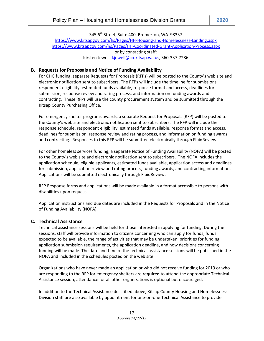345 6<sup>th</sup> Street, Suite 400, Bremerton, WA 98337

<https://www.kitsapgov.com/hs/Pages/HH-Housing-and-Homelessness-Landing.aspx> <https://www.kitsapgov.com/hs/Pages/HH-Coordinated-Grant-Application-Process.aspx> or by contacting staff: Kirsten Jewell[, kjewell@co.kitsap.wa.us,](mailto:kjewell@co.kitsap.wa.us) 360-337-7286

# **B. Requests for Proposals and Notice of Funding Availability**

For CHG funding, separate Requests for Proposals (RFPs) will be posted to the County's web site and electronic notification sent to subscribers. The RFPs will include the timeline for submissions, respondent eligibility, estimated funds available, response format and access, deadlines for submission, response review and rating process, and information on funding awards and contracting. These RFPs will use the county procurement system and be submitted through the Kitsap County Purchasing Office.

For emergency shelter programs awards, a separate Request for Proposals (RFP) will be posted to the County's web site and electronic notification sent to subscribers. The RFP will include the response schedule, respondent eligibility, estimated funds available, response format and access, deadlines for submission, response review and rating process, and information on funding awards and contracting. Responses to this RFP will be submitted electronically through FluidReview.

For other homeless services funding, a separate Notice of Funding Availability (NOFA) will be posted to the County's web site and electronic notification sent to subscribers. The NOFA includes the application schedule, eligible applicants, estimated funds available, application access and deadlines for submission, application review and rating process, funding awards, and contracting information. Applications will be submitted electronically through FluidReview.

RFP Response forms and applications will be made available in a format accessible to persons with disabilities upon request.

Application instructions and due dates are included in the Requests for Proposals and in the Notice of Funding Availability (NOFA).

# **C. Technical Assistance**

Technical assistance sessions will be held for those interested in applying for funding. During the sessions, staff will provide information to citizens concerning who can apply for funds, funds expected to be available, the range of activities that may be undertaken, priorities for funding, application submission requirements, the application deadline, and how decisions concerning funding will be made. The date and time of the technical assistance sessions will be published in the NOFA and included in the schedules posted on the web site.

Organizations who have never made an application or who did not receive funding for 2019 or who are responding to the RFP for emergency shelters are **required** to attend the appropriate Technical Assistance session; attendance for all other organizations is optional but encouraged.

In addition to the Technical Assistance described above, Kitsap County Housing and Homelessness Division staff are also available by appointment for one-on-one Technical Assistance to provide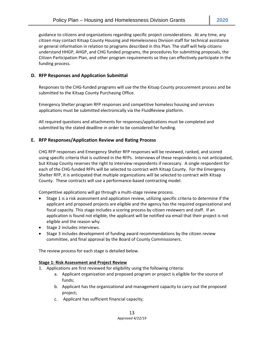guidance to citizens and organizations regarding specific project considerations. At any time, any citizen may contact Kitsap County Housing and Homelessness Division staff for technical assistance or general information in relation to programs described in this Plan. The staff will help citizens understand HHGP, AHGP, and CHG funded programs, the procedures for submitting proposals, the Citizen Participation Plan, and other program requirements so they can effectively participate in the funding process.

# **D. RFP Responses and Application Submittal**

Responses to the CHG-funded programs will use the the Kitsap County procurement process and be submitted to the Kitsap County Purchasing Office.

Emergency Shelter program RFP responses and competitive homeless housing and services applications must be submitted electronically via the FluidReview platform.

All required questions and attachments for responses/applications must be completed and submitted by the stated deadline in order to be considered for funding.

# **E. RFP Responses/Application Review and Rating Process**

CHG RFP responses and Emergency Shelter RFP responses will be reviewed, ranked, and scored using specific criteria that is outlined in the RFPs. Interviews of these respondents is not anticipated, but Kitsap County reserves the right to interview respondents if necessary. A single respondent for each of the CHG-funded RFPs will be selected to contract with Kitsap County. For the Emergency Shelter RFP, it is anticipated that multiple organizations will be selected to contract with Kitsap County. These contracts will use a performance-based contracting model.

Competitive applications will go through a multi-stage review process.

- Stage 1 is a risk assessment and application review, utilizing specific criteria to determine if the applicant and proposed projects are eligible and the agency has the required organizational and fiscal capacity. This stage includes a scoring process by citizen reviewers and staff. If an application is found not eligible, the applicant will be notified via email that their project is not eligible and the reason why.
- Stage 2 includes interviews.
- Stage 3 includes development of funding award recommendations by the citizen review committee, and final approval by the Board of County Commissioners.

The review process for each stage is detailed below.

# **Stage 1: Risk Assessment and Project Review**

- 1. Applications are first reviewed for eligibility using the following criteria:
	- a. Applicant organization and proposed program or project is eligible for the source of funds;
	- b. Applicant has the organizational and management capacity to carry out the proposed project;
	- c. Applicant has sufficient financial capacity;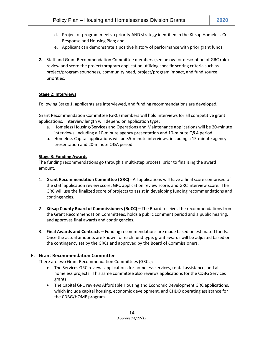- d. Project or program meets a priority AND strategy identified in the Kitsap Homeless Crisis Response and Housing Plan; and
- e. Applicant can demonstrate a positive history of performance with prior grant funds.
- **2.** Staff and Grant Recommendation Committee members (see below for description of GRC role) review and score the project/program application utilizing specific scoring criteria such as project/program soundness, community need, project/program impact, and fund source priorities.

# **Stage 2: Interviews**

Following Stage 1, applicants are interviewed, and funding recommendations are developed.

Grant Recommendation Committee (GRC) members will hold interviews for all competitive grant applications. Interview length will depend on application type:

- a. Homeless Housing/Services and Operations and Maintenance applications will be 20-minute interviews, including a 10-minute agency presentation and 10-minute Q&A period.
- b. Homeless Capital applications will be 35-minute interviews, including a 15-minute agency presentation and 20-minute Q&A period.

# **Stage 3: Funding Awards**

The funding recommendations go through a multi-step process, prior to finalizing the award amount.

- 1. **Grant Recommendation Committee (GRC)**  All applications will have a final score comprised of the staff application review score, GRC application review score, and GRC interview score. The GRC will use the finalized score of projects to assist in developing funding recommendations and contingencies.
- 2. **Kitsap County Board of Commissioners (BoCC)** The Board receives the recommendations from the Grant Recommendation Committees, holds a public comment period and a public hearing, and approves final awards and contingencies.
- 3. **Final Awards and Contracts** Funding recommendations are made based on estimated funds. Once the actual amounts are known for each fund type, grant awards will be adjusted based on the contingency set by the GRCs and approved by the Board of Commissioners.

# **F. Grant Recommendation Committee**

There are two Grant Recommendation Committees (GRCs):

- The Services GRC reviews applications for homeless services, rental assistance, and all homeless projects. This same committee also reviews applications for the CDBG Services grants.
- The Capital GRC reviews Affordable Housing and Economic Development GRC applications, which include capital housing, economic development, and CHDO operating assistance for the CDBG/HOME program.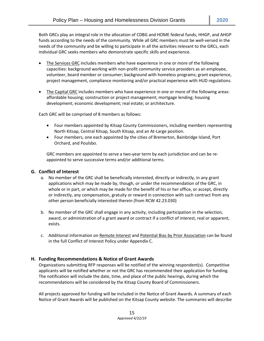Both GRCs play an integral role in the allocation of CDBG and HOME federal funds, HHGP, and AHGP funds according to the needs of the community. While all GRC members must be well-versed in the needs of the community and be willing to participate in all the activities relevant to the GRCs, each individual GRC seeks members who demonstrate specific skills and experience.

- The Services GRC includes members who have experience in one or more of the following capacities: background working with non-profit community service providers as an employee, volunteer, board member or consumer; background with homeless programs; grant experience, project management, compliance monitoring and/or practical experience with HUD regulations.
- The Capital GRC includes members who have experience in one or more of the following areas: affordable housing; construction or project management; mortgage lending; housing development; economic development; real estate; or architecture.

Each GRC will be comprised of 8 members as follows:

- Four members appointed by Kitsap County Commissioners, including members representing North Kitsap, Central Kitsap, South Kitsap, and an At-Large position.
- Four members, one each appointed by the cities of Bremerton, Bainbridge Island, Port Orchard, and Poulsbo.

GRC members are appointed to serve a two-year term by each jurisdiction and can be reappointed to serve successive terms and/or additional terms.

# **G. Conflict of Interest**

- a. No member of the GRC shall be beneficially interested, directly or indirectly, in any grant applications which may be made by, though, or under the recommendation of the GRC, in whole or in part, or which may be made for the benefit of his or her office, or accept, directly or indirectly, any compensation, gratuity or reward in connection with such contract from any other person beneficially interested therein (from RCW 42.23.030)
- b. No member of the GRC shall engage in any activity, including participation in the selection, award, or administration of a grant award or contract if a conflict of interest, real or apparent, exists.
- c. Additional information on Remote Interest and Potential Bias by Prior Association can be found in the full Conflict of Interest Policy under Appendix C.

# **H. Funding Recommendations & Notice of Grant Awards**

Organizations submitting RFP responses will be notified of the winning respondent(s). Competitive applicants will be notified whether or not the GRC has recommended their application for funding. The notification will include the date, time, and place of the public hearings, during which the recommendations will be considered by the Kitsap County Board of Commissioners.

All projects approved for funding will be included in the Notice of Grant Awards. A summary of each Notice of Grant Awards will be published on the Kitsap County website. The summaries will describe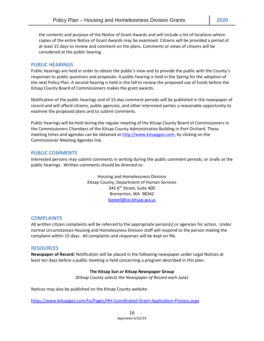the contents and purpose of the Notice of Grant Awards and will include a list of locations where copies of the entire Notice of Grant Awards may be examined. Citizens will be provided a period of at least 15 days to review and comment on the plans. Comments or views of citizens will be considered at the public hearing.

#### **PUBLIC HEARINGS**

Public hearings are held in order to obtain the public's view and to provide the public with the County's responses to public questions and proposals. A public hearing is held in the Spring for the adoption of the next Policy Plan. A second hearing is held in the fall to review the proposed use of funds before the Kitsap County Board of Commissioners makes the grant awards.

Notification of the public hearings and of 15-day comment periods will be published in the newspaper of record and will afford citizens, public agencies, and other interested parties a reasonable opportunity to examine the proposed plans and to submit comments.

Public hearings will be held during the regular meeting of the Kitsap County Board of Commissioners in the Commissioners Chambers of the Kitsap County Administrative Building in Port Orchard. These meeting times and agendas can be obtained at [http://www.kitsapgov.com,](http://www.kitsapgov.com/) by clicking on the Commissioner Meeting Agendas link.

# **PUBLIC COMMENTS**

Interested persons may submit comments in writing during the public comment periods, or orally at the public hearings. Written comments should be directed to:

> Housing and Homelessness Division Kitsap County, Department of Human Services 345 6<sup>th</sup> Street, Suite 400 Bremerton, WA 98342 [kjewell@co.kitsap.wa.us](mailto:kjewell@co.kitsap.wa.us)

# **COMPLAINTS**

All written citizen complaints will be referred to the appropriate person(s) or agencies for action. Under normal circumstances Housing and Homelessness Division staff will respond to the person making the complaint within 15 days. All complaints and responses will be kept on file.

# **RESOURCES**

**Newspaper of Record:** Notification will be placed in the following newspaper under Legal Notices at least ten days before a public meeting is held concerning a program described in this plan:

#### **The Kitsap Sun** *or* **Kitsap Newspaper Group**

*(Kitsap County selects the Newspaper of Record each June)*

Notices may also be published on the Kitsap County website:

<https://www.kitsapgov.com/hs/Pages/HH-Coordinated-Grant-Application-Process.aspx>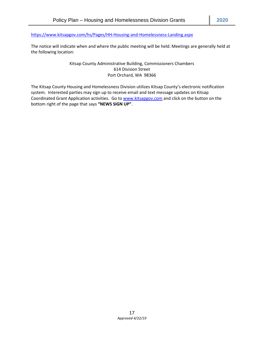<https://www.kitsapgov.com/hs/Pages/HH-Housing-and-Homelessness-Landing.aspx>

The notice will indicate when and where the public meeting will be held. Meetings are generally held at the following location:

# Kitsap County Administrative Building, Commissioners Chambers 614 Division Street Port Orchard, WA 98366

The Kitsap County Housing and Homelessness Division utilizes Kitsap County's electronic notification system. Interested parties may sign up to receive email and text message updates on Kitsap Coordinated Grant Application activities. Go to [www.kitsapgov.com](http://www.kitsapgov.com/) and click on the button on the bottom right of the page that says **"NEWS SIGN UP"**.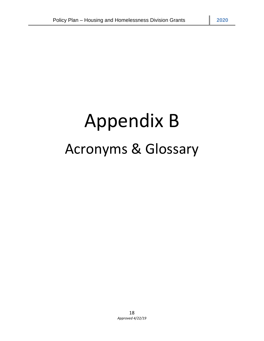# Appendix B Acronyms & Glossary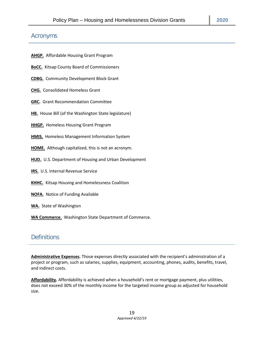# Acronyms

**AHGP.** Affordable Housing Grant Program

**BoCC.** Kitsap County Board of Commissioners

**CDBG.** Community Development Block Grant

**CHG.** Consolidated Homeless Grant

**GRC.** Grant Recommendation Committee

**HB.** House Bill (of the Washington State legislature)

**HHGP.** Homeless Housing Grant Program

**HMIS.** Homeless Management Information System

**HOME.** Although capitalized, this is not an acronym.

**HUD.** U.S. Department of Housing and Urban Development

**IRS.** U.S. Internal Revenue Service

**KHHC.** Kitsap Housing and Homelessness Coalition

**NOFA.** Notice of Funding Available

**WA.** State of Washington

**WA Commerce.** Washington State Department of Commerce.

# **Definitions**

**Administrative Expenses.** Those expenses directly associated with the recipient's administration of a project or program, such as salaries, supplies, equipment, accounting, phones, audits, benefits, travel, and indirect costs.

**Affordability.** Affordability is achieved when a household's rent or mortgage payment, plus utilities, does not exceed 30% of the monthly income for the targeted income group as adjusted for household size.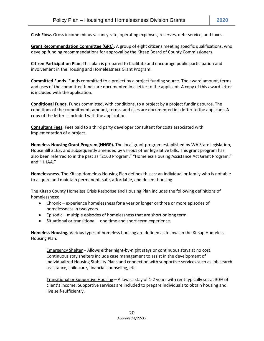**Grant Recommendation Committee (GRC).** A group of eight citizens meeting specific qualifications, who develop funding recommendations for approval by the Kitsap Board of County Commissioners.

**Citizen Participation Plan:** This plan is prepared to facilitate and encourage public participation and involvement in the Housing and Homelessness Grant Program.

**Committed Funds.** Funds committed to a project by a project funding source. The award amount, terms and uses of the committed funds are documented in a letter to the applicant. A copy of this award letter is included with the application.

**Conditional Funds.** Funds committed, with conditions, to a project by a project funding source. The conditions of the commitment, amount, terms, and uses are documented in a letter to the applicant. A copy of the letter is included with the application.

**Consultant Fees.** Fees paid to a third party developer consultant for costs associated with implementation of a project.

**Homeless Housing Grant Program (HHGP).** The local grant program established by WA State legislation, House Bill 2163, and subsequently amended by various other legislative bills. This grant program has also been referred to in the past as "2163 Program," "Homeless Housing Assistance Act Grant Program," and "HHAA."

**Homelessness.** The Kitsap Homeless Housing Plan defines this as: an individual or family who is not able to acquire and maintain permanent, safe, affordable, and decent housing.

The Kitsap County Homeless Crisis Response and Housing Plan includes the following definitions of homelessness:

- Chronic experience homelessness for a year or longer or three or more episodes of homelessness in two years.
- Episodic multiple episodes of homelessness that are short or long term.
- Situational or transitional one time and short-term experience.

**Homeless Housing.** Various types of homeless housing are defined as follows in the Kitsap Homeless Housing Plan:

Emergency Shelter – Allows either night-by-night stays or continuous stays at no cost. Continuous stay shelters include case management to assist in the development of individualized Housing Stability Plans and connection with supportive services such as job search assistance, child care, financial counseling, etc.

Transitional or Supportive Housing – Allows a stay of 1-2 years with rent typically set at 30% of client's income. Supportive services are included to prepare individuals to obtain housing and live self-sufficiently.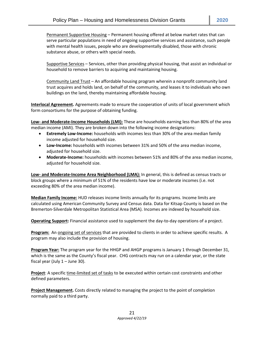Permanent Supportive Housing – Permanent housing offered at below market rates that can serve particular populations in need of ongoing supportive services and assistance, such people with mental health issues, people who are developmentally disabled, those with chronic substance abuse, or others with special needs.

Supportive Services – Services, other than providing physical housing, that assist an individual or household to remove barriers to acquiring and maintaining housing.

Community Land Trust – An affordable housing program wherein a nonprofit community land trust acquires and holds land, on behalf of the community, and leases it to individuals who own buildings on the land, thereby maintaining affordable housing.

**Interlocal Agreement.** Agreements made to ensure the cooperation of units of local government which form consortiums for the purpose of obtaining funding.

**Low- and Moderate-Income Households (LMI):** These are households earning less than 80% of the area median income (AMI). They are broken down into the following income designations:

- **Extremely Low-Income:** households with incomes less than 30% of the area median family income adjusted for household size.
- **Low-Income:** households with incomes between 31% and 50% of the area median income, adjusted for household size.
- **Moderate-Income:** households with incomes between 51% and 80% of the area median income, adjusted for household size.

**Low- and Moderate-Income Area Neighborhood (LMA):** In general, this is defined as census tracts or block groups where a minimum of 51% of the residents have low or moderate incomes (i.e. not exceeding 80% of the area median income).

**Median Family Income:** HUD releases income limits annually for its programs. Income limits are calculated using American Community Survey and Census data. Data for Kitsap County is based on the Bremerton-Silverdale Metropolitan Statistical Area (MSA). Incomes are indexed by household size.

**Operating Support:** Financial assistance used to supplement the day-to-day operations of a project.

**Program:** An ongoing set of services that are provided to clients in order to achieve specific results. A program may also include the provision of housing.

**Program Year:** The program year for the HHGP and AHGP programs is January 1 through December 31, which is the same as the County's fiscal year. CHG contracts may run on a calendar year, or the state fiscal year (July  $1 -$  June 30).

**Project**: A specific time-limited set of tasks to be executed within certain cost constraints and other defined parameters.

**Project Management.** Costs directly related to managing the project to the point of completion normally paid to a third party.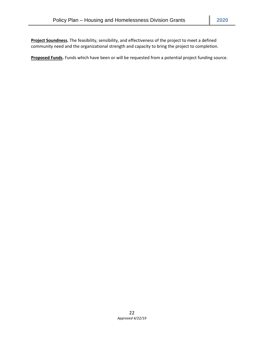**Project Soundness.** The feasibility, sensibility, and effectiveness of the project to meet a defined community need and the organizational strength and capacity to bring the project to completion.

**Proposed Funds.** Funds which have been or will be requested from a potential project funding source.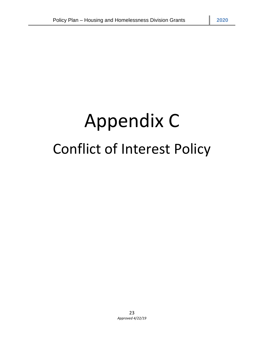# Appendix C Conflict of Interest Policy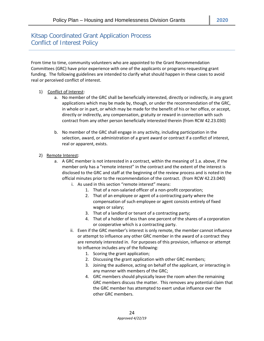# Kitsap Coordinated Grant Application Process Conflict of Interest Policy

From time to time, community volunteers who are appointed to the Grant Recommendation Committees (GRC) have prior experience with one of the applicants or programs requesting grant funding. The following guidelines are intended to clarify what should happen in these cases to avoid real or perceived conflict of interest.

- 1) Conflict of Interest:
	- a. No member of the GRC shall be beneficially interested, directly or indirectly, in any grant applications which may be made by, though, or under the recommendation of the GRC, in whole or in part, or which may be made for the benefit of his or her office, or accept, directly or indirectly, any compensation, gratuity or reward in connection with such contract from any other person beneficially interested therein (from RCW 42.23.030)
	- b. No member of the GRC shall engage in any activity, including participation in the selection, award, or administration of a grant award or contract if a conflict of interest, real or apparent, exists.
- 2) Remote Interest:
	- a. A GRC member is not interested in a contract, within the meaning of 1.a. above, if the member only has a "remote interest" in the contract and the extent of the interest is disclosed to the GRC and staff at the beginning of the review process and is noted in the official minutes prior to the recommendation of the contract. (from RCW 42.23.040)
		- i. As used in this section "remote interest" means:
			- 1. That of a non-salaried officer of a non-profit corporation;
			- 2. That of an employee or agent of a contracting party where the compensation of such employee or agent consists entirely of fixed wages or salary;
			- 3. That of a landlord or tenant of a contracting party;
			- 4. That of a holder of less than one percent of the shares of a corporation or cooperative which is a contracting party.
		- ii. Even if the GRC member's interest is only remote, the member cannot influence or attempt to influence any other GRC member in the award of a contract they are remotely interested in. For purposes of this provision, influence or attempt to influence includes any of the following:
			- 1. Scoring the grant application;
			- 2. Discussing the grant application with other GRC members;
			- 3. Joining the audience, acting on behalf of the applicant, or interacting in any manner with members of the GRC;
			- 4. GRC members should physically leave the room when the remaining GRC members discuss the matter. This removes any potential claim that the GRC member has attempted to exert undue influence over the other GRC members.